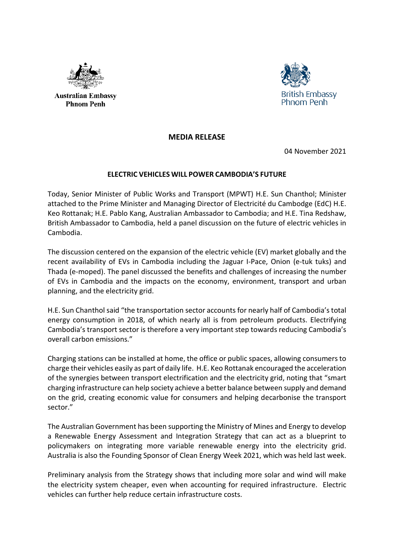

**Australian Embassy Phnom Penh** 



## **MEDIA RELEASE**

04 November 2021

## **ELECTRIC VEHICLES WILL POWER CAMBODIA'S FUTURE**

Today, Senior Minister of Public Works and Transport (MPWT) H.E. Sun Chanthol; Minister attached to the Prime Minister and Managing Director of Electricité du Cambodge (EdC) H.E. Keo Rottanak; H.E. Pablo Kang, Australian Ambassador to Cambodia; and H.E. Tina Redshaw, British Ambassador to Cambodia, held a panel discussion on the future of electric vehicles in Cambodia.

The discussion centered on the expansion of the electric vehicle (EV) market globally and the recent availability of EVs in Cambodia including the Jaguar I-Pace, Onion (e-tuk tuks) and Thada (e-moped). The panel discussed the benefits and challenges of increasing the number of EVs in Cambodia and the impacts on the economy, environment, transport and urban planning, and the electricity grid.

H.E. Sun Chanthol said "the transportation sector accounts for nearly half of Cambodia's total energy consumption in 2018, of which nearly all is from petroleum products. Electrifying Cambodia's transport sector is therefore a very important step towards reducing Cambodia's overall carbon emissions."

Charging stations can be installed at home, the office or public spaces, allowing consumers to charge their vehicles easily as part of daily life. H.E. Keo Rottanak encouraged the acceleration of the synergies between transport electrification and the electricity grid, noting that "smart charging infrastructure can help society achieve a better balance between supply and demand on the grid, creating economic value for consumers and helping decarbonise the transport sector."

The Australian Government has been supporting the Ministry of Mines and Energy to develop a Renewable Energy Assessment and Integration Strategy that can act as a blueprint to policymakers on integrating more variable renewable energy into the electricity grid. Australia is also the Founding Sponsor of Clean Energy Week 2021, which was held last week.

Preliminary analysis from the Strategy shows that including more solar and wind will make the electricity system cheaper, even when accounting for required infrastructure. Electric vehicles can further help reduce certain infrastructure costs.